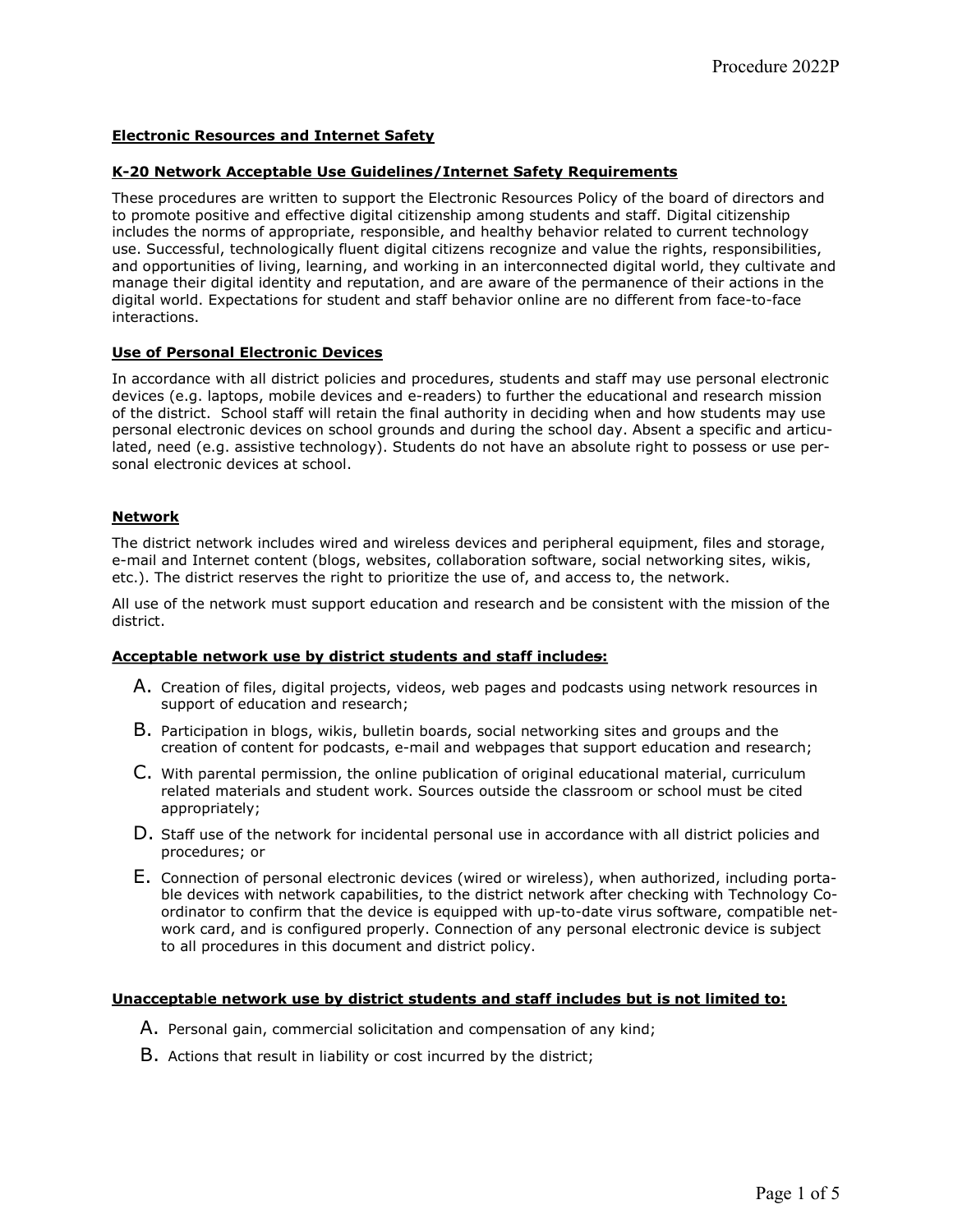# Electronic Resources and Internet Safety

## K-20 Network Acceptable Use Guidelines/Internet Safety Requirements

These procedures are written to support the Electronic Resources Policy of the board of directors and to promote positive and effective digital citizenship among students and staff. Digital citizenship includes the norms of appropriate, responsible, and healthy behavior related to current technology use. Successful, technologically fluent digital citizens recognize and value the rights, responsibilities, and opportunities of living, learning, and working in an interconnected digital world, they cultivate and manage their digital identity and reputation, and are aware of the permanence of their actions in the digital world. Expectations for student and staff behavior online are no different from face-to-face interactions.

## Use of Personal Electronic Devices

In accordance with all district policies and procedures, students and staff may use personal electronic devices (e.g. laptops, mobile devices and e-readers) to further the educational and research mission of the district. School staff will retain the final authority in deciding when and how students may use personal electronic devices on school grounds and during the school day. Absent a specific and articulated, need (e.g. assistive technology). Students do not have an absolute right to possess or use personal electronic devices at school.

# Network

The district network includes wired and wireless devices and peripheral equipment, files and storage, e-mail and Internet content (blogs, websites, collaboration software, social networking sites, wikis, etc.). The district reserves the right to prioritize the use of, and access to, the network.

All use of the network must support education and research and be consistent with the mission of the district.

## Acceptable network use by district students and staff includes:

- A. Creation of files, digital projects, videos, web pages and podcasts using network resources in support of education and research;
- B. Participation in blogs, wikis, bulletin boards, social networking sites and groups and the creation of content for podcasts, e-mail and webpages that support education and research;
- C. With parental permission, the online publication of original educational material, curriculum related materials and student work. Sources outside the classroom or school must be cited appropriately;
- D. Staff use of the network for incidental personal use in accordance with all district policies and procedures; or
- E. Connection of personal electronic devices (wired or wireless), when authorized, including portable devices with network capabilities, to the district network after checking with Technology Coordinator to confirm that the device is equipped with up-to-date virus software, compatible network card, and is configured properly. Connection of any personal electronic device is subject to all procedures in this document and district policy.

## Unacceptable network use by district students and staff includes but is not limited to:

- A. Personal gain, commercial solicitation and compensation of any kind;
- B. Actions that result in liability or cost incurred by the district;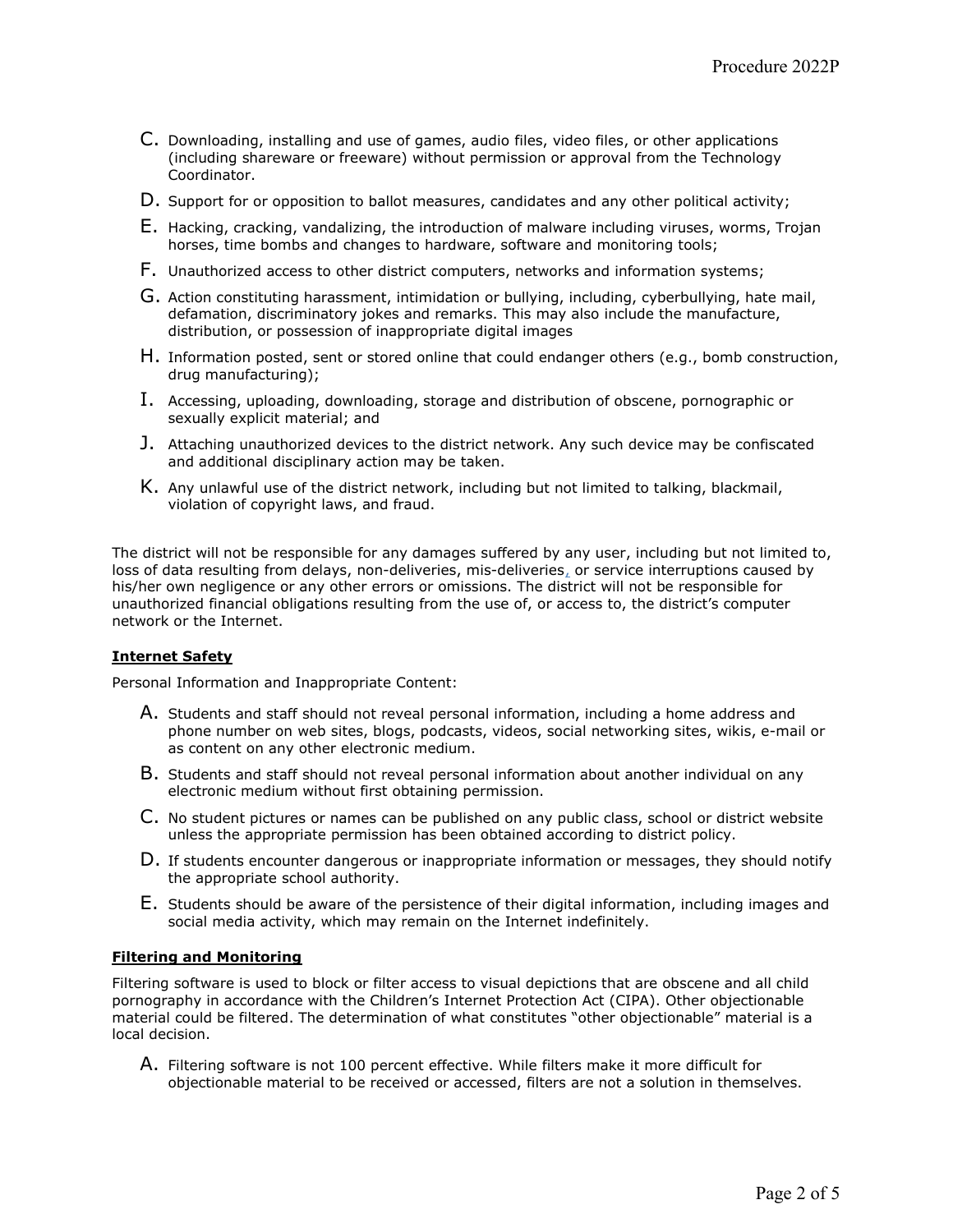- C. Downloading, installing and use of games, audio files, video files, or other applications (including shareware or freeware) without permission or approval from the Technology Coordinator.
- D. Support for or opposition to ballot measures, candidates and any other political activity;
- E. Hacking, cracking, vandalizing, the introduction of malware including viruses, worms, Trojan horses, time bombs and changes to hardware, software and monitoring tools;
- F. Unauthorized access to other district computers, networks and information systems;
- G. Action constituting harassment, intimidation or bullying, including, cyberbullying, hate mail, defamation, discriminatory jokes and remarks. This may also include the manufacture, distribution, or possession of inappropriate digital images
- H. Information posted, sent or stored online that could endanger others (e.g., bomb construction, drug manufacturing);
- I. Accessing, uploading, downloading, storage and distribution of obscene, pornographic or sexually explicit material; and
- J. Attaching unauthorized devices to the district network. Any such device may be confiscated and additional disciplinary action may be taken.
- K. Any unlawful use of the district network, including but not limited to talking, blackmail, violation of copyright laws, and fraud.

The district will not be responsible for any damages suffered by any user, including but not limited to, loss of data resulting from delays, non-deliveries, mis-deliveries, or service interruptions caused by his/her own negligence or any other errors or omissions. The district will not be responsible for unauthorized financial obligations resulting from the use of, or access to, the district's computer network or the Internet.

#### Internet Safety

Personal Information and Inappropriate Content:

- A. Students and staff should not reveal personal information, including a home address and phone number on web sites, blogs, podcasts, videos, social networking sites, wikis, e-mail or as content on any other electronic medium.
- B. Students and staff should not reveal personal information about another individual on any electronic medium without first obtaining permission.
- C. No student pictures or names can be published on any public class, school or district website unless the appropriate permission has been obtained according to district policy.
- D. If students encounter dangerous or inappropriate information or messages, they should notify the appropriate school authority.
- E. Students should be aware of the persistence of their digital information, including images and social media activity, which may remain on the Internet indefinitely.

#### Filtering and Monitoring

Filtering software is used to block or filter access to visual depictions that are obscene and all child pornography in accordance with the Children's Internet Protection Act (CIPA). Other objectionable material could be filtered. The determination of what constitutes "other objectionable" material is a local decision.

A. Filtering software is not 100 percent effective. While filters make it more difficult for objectionable material to be received or accessed, filters are not a solution in themselves.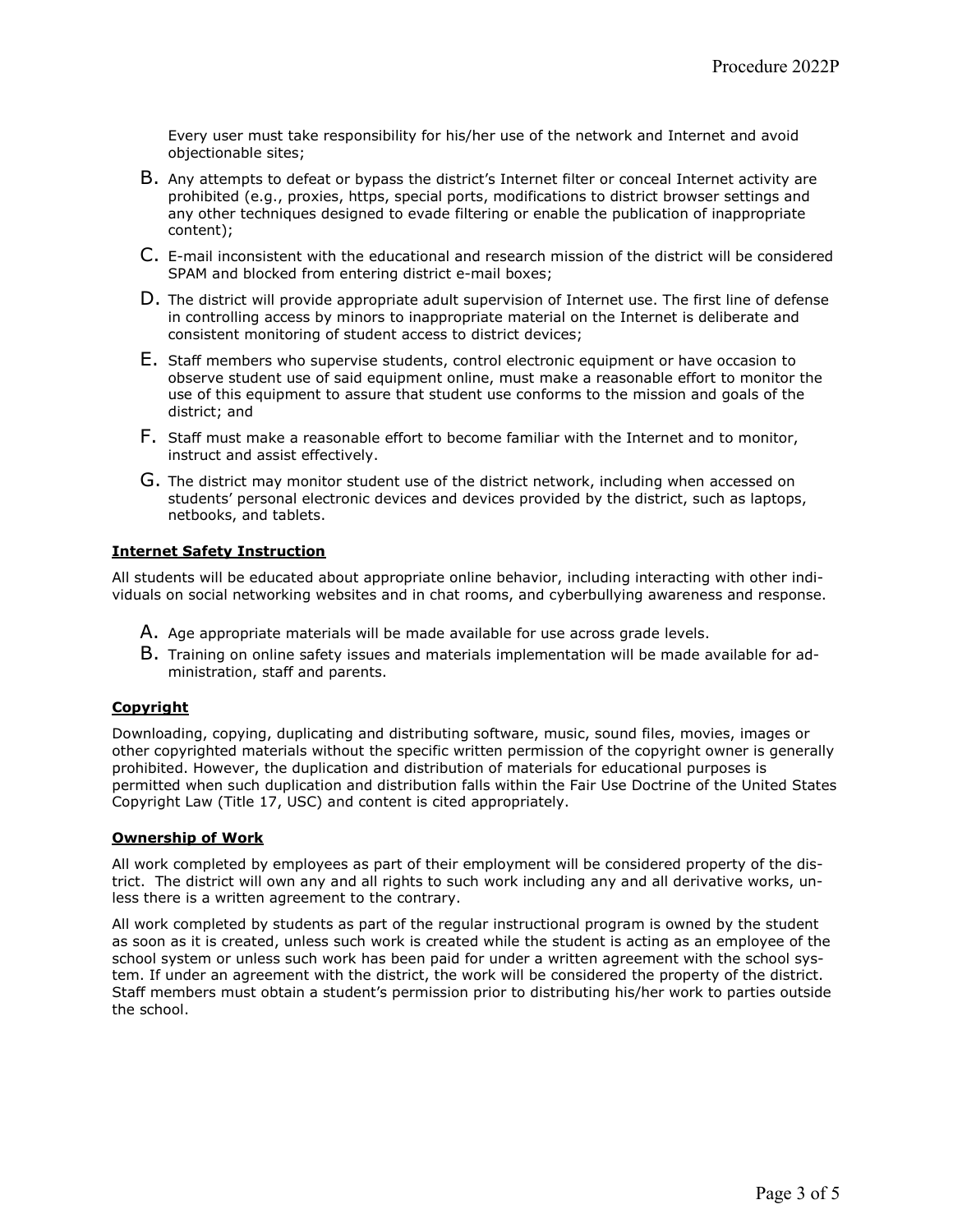Every user must take responsibility for his/her use of the network and Internet and avoid objectionable sites;

- B. Any attempts to defeat or bypass the district's Internet filter or conceal Internet activity are prohibited (e.g., proxies, https, special ports, modifications to district browser settings and any other techniques designed to evade filtering or enable the publication of inappropriate content);
- C. E-mail inconsistent with the educational and research mission of the district will be considered SPAM and blocked from entering district e-mail boxes;
- D. The district will provide appropriate adult supervision of Internet use. The first line of defense in controlling access by minors to inappropriate material on the Internet is deliberate and consistent monitoring of student access to district devices;
- E. Staff members who supervise students, control electronic equipment or have occasion to observe student use of said equipment online, must make a reasonable effort to monitor the use of this equipment to assure that student use conforms to the mission and goals of the district; and
- F. Staff must make a reasonable effort to become familiar with the Internet and to monitor, instruct and assist effectively.
- G. The district may monitor student use of the district network, including when accessed on students' personal electronic devices and devices provided by the district, such as laptops, netbooks, and tablets.

## Internet Safety Instruction

All students will be educated about appropriate online behavior, including interacting with other individuals on social networking websites and in chat rooms, and cyberbullying awareness and response.

- A. Age appropriate materials will be made available for use across grade levels.
- B. Training on online safety issues and materials implementation will be made available for administration, staff and parents.

## **Copyright**

Downloading, copying, duplicating and distributing software, music, sound files, movies, images or other copyrighted materials without the specific written permission of the copyright owner is generally prohibited. However, the duplication and distribution of materials for educational purposes is permitted when such duplication and distribution falls within the Fair Use Doctrine of the United States Copyright Law (Title 17, USC) and content is cited appropriately.

## Ownership of Work

All work completed by employees as part of their employment will be considered property of the district. The district will own any and all rights to such work including any and all derivative works, unless there is a written agreement to the contrary.

All work completed by students as part of the regular instructional program is owned by the student as soon as it is created, unless such work is created while the student is acting as an employee of the school system or unless such work has been paid for under a written agreement with the school system. If under an agreement with the district, the work will be considered the property of the district. Staff members must obtain a student's permission prior to distributing his/her work to parties outside the school.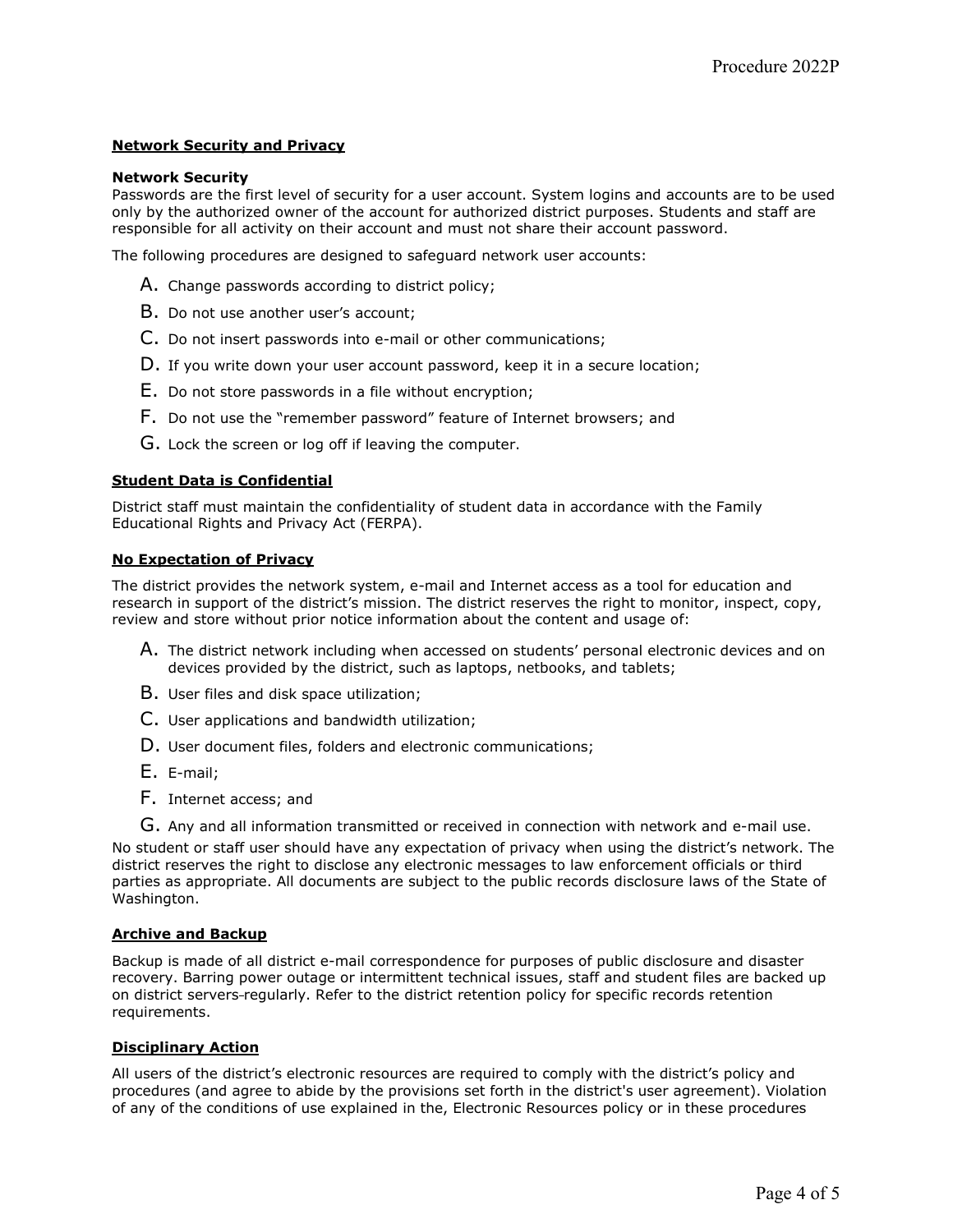# Network Security and Privacy

#### Network Security

Passwords are the first level of security for a user account. System logins and accounts are to be used only by the authorized owner of the account for authorized district purposes. Students and staff are responsible for all activity on their account and must not share their account password.

The following procedures are designed to safeguard network user accounts:

- A. Change passwords according to district policy;
- B. Do not use another user's account;
- C. Do not insert passwords into e-mail or other communications;
- D. If you write down your user account password, keep it in a secure location;
- E. Do not store passwords in a file without encryption;
- F. Do not use the "remember password" feature of Internet browsers; and
- G. Lock the screen or log off if leaving the computer.

## Student Data is Confidential

District staff must maintain the confidentiality of student data in accordance with the Family Educational Rights and Privacy Act (FERPA).

#### No Expectation of Privacy

The district provides the network system, e-mail and Internet access as a tool for education and research in support of the district's mission. The district reserves the right to monitor, inspect, copy, review and store without prior notice information about the content and usage of:

- A. The district network including when accessed on students' personal electronic devices and on devices provided by the district, such as laptops, netbooks, and tablets;
- B. User files and disk space utilization;
- C. User applications and bandwidth utilization;
- D. User document files, folders and electronic communications;
- E. E-mail;
- F. Internet access; and
- G. Any and all information transmitted or received in connection with network and e-mail use.

No student or staff user should have any expectation of privacy when using the district's network. The district reserves the right to disclose any electronic messages to law enforcement officials or third parties as appropriate. All documents are subject to the public records disclosure laws of the State of Washington.

#### Archive and Backup

Backup is made of all district e-mail correspondence for purposes of public disclosure and disaster recovery. Barring power outage or intermittent technical issues, staff and student files are backed up on district servers regularly. Refer to the district retention policy for specific records retention requirements.

#### Disciplinary Action

All users of the district's electronic resources are required to comply with the district's policy and procedures (and agree to abide by the provisions set forth in the district's user agreement). Violation of any of the conditions of use explained in the, Electronic Resources policy or in these procedures